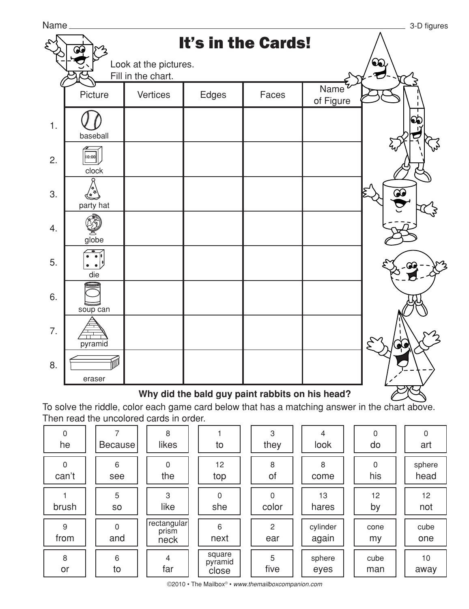

## **Why did the bald guy paint rabbits on his head?**

To solve the riddle, color each game card below that has a matching answer in the chart above. Then read the uncolored cards in order.

| 0<br>he    | Because <sup> </sup> | 8<br>likes                   | to                         | 3<br>they             | 4<br>look         | 0<br>do     | 0<br>art       |
|------------|----------------------|------------------------------|----------------------------|-----------------------|-------------------|-------------|----------------|
| 0<br>can't | 6<br>see             | $\Omega$<br>the              | 12<br>top                  | 8<br>of               | 8<br>come         | 0<br>his    | sphere<br>head |
| brush      | 5<br>S <sub>O</sub>  | 3<br>like                    | $\Omega$<br>she            | $\mathbf{0}$<br>color | 13<br>hares       | 12<br>by    | 12<br>not      |
| 9<br>from  | $\Omega$<br>and      | rectangular<br>prism<br>neck | 6<br>next                  | $\overline{c}$<br>ear | cylinder<br>again | cone<br>my  | cube<br>one    |
| 8<br>or    | 6<br>to              | 4<br>far                     | square<br>pyramid<br>close | 5<br>five             | sphere<br>eyes    | cube<br>man | 10<br>away     |

©2010 • The Mailbox® • *www.themailboxcompanion.com*